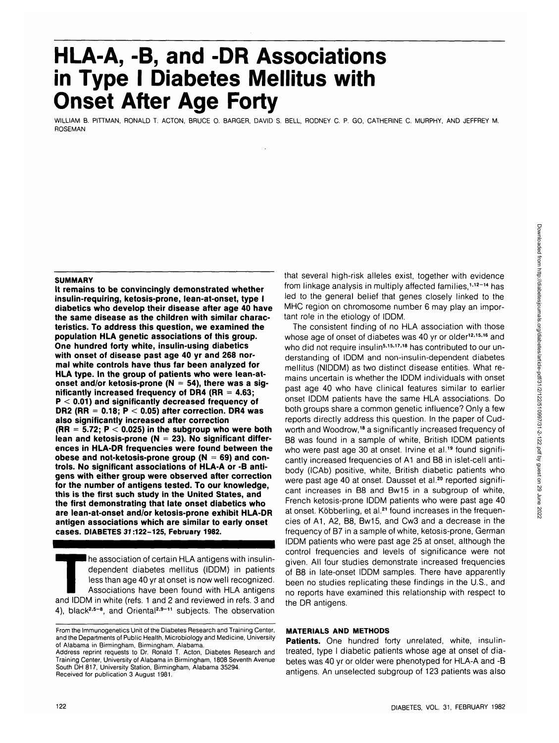# **HLA-A, -B, and -DR Associations in Type I Diabetes Mellitus with Onset After Age Forty**

WILLIAM B. PITTMAN, RONALD T. ACTON, BRUCE 0. BARGER, DAVID S. BELL, RODNEY C. P. GO, CATHERINE C. MURPHY, AND JEFFREY M. ROSEMAN

## **SUMMARY**

**It remains to be convincingly demonstrated whether insulin-requiring, ketosis-prone, lean-at-onset, type I diabetics who develop their disease after age 40 have the same disease as the children with similar characteristics. To address this question, we examined the population HLA genetic associations of this group. One hundred forty white, insulin-using diabetics with onset of disease past age 40 yr and 268 normal white controls have thus far been analyzed for HLA type. In the group of patients who were lean-atonset and/or ketosis-prone (N = 54), there was a significantly increased frequency of DR4 (RR = 4.63; P < 0.01) and significantly decreased frequency of DR2 (RR = 0.18; P < 0.05) after correction. DR4 was also significantly increased after correction (RR = 5.72; P < 0.025) in the subgroup who were both lean and ketosis-prone (N = 23). No significant differences in HLA-DR frequencies were found between the obese and not-ketosis-prone group (N = 69) and controls. No significant associations of HLA-A or -B antigens with either group were observed after correction for the number of antigens tested. To our knowledge, this is the first such study in the United States, and the first demonstrating that late onset diabetics who are lean-at-onset and/or ketosis-prone exhibit HLA-DR antigen associations which are similar to early onset cases. DIABETES 37:122-125, February 1982.**

The association of certain HLA antigens with insulin-<br>dependent diabetes mellitus (IDDM) in patients<br>less than age 40 yr at onset is now well recognized.<br>Associations have been found with HLA antigens<br>and IDDM in white (re dependent diabetes mellitus (IDDM) in patients less than age 40 yr at onset is now well recognized. Associations have been found with HLA antigens 4), black<sup>2,5-8</sup>, and Oriental<sup>2,9-11</sup> subjects. The observation

that several high-risk alleles exist, together with evidence from linkage analysis in multiply affected families,<sup>1,12-14</sup> has led to the general belief that genes closely linked to the MHC region on chromosome number 6 may play an important role in the etiology of IDDM.

The consistent finding of no HLA association with those whose age of onset of diabetes was 40 yr or older<sup>12,15,16</sup> and who did not require insulin<sup>5,15,17,18</sup> has contributed to our understanding of IDDM and non-insulin-dependent diabetes mellitus (NIDDM) as two distinct disease entities. What remains uncertain is whether the IDDM individuals with onset past age 40 who have clinical features similar to earlier onset IDDM patients have the same HLA associations. Do both groups share a common genetic influence? Only a few reports directly address this question. In the paper of Cudworth and Woodrow,<sup>18</sup> a significantly increased frequency of B8 was found in a sample of white, British IDDM patients who were past age 30 at onset. Irvine et al.<sup>19</sup> found significantly increased frequencies of A1 and B8 in islet-cell antibody (ICAb) positive, white, British diabetic patients who were past age 40 at onset. Dausset et al.<sup>20</sup> reported significant increases in B8 and Bw15 in a subgroup of white, French ketosis-prone IDDM patients who were past age 40 at onset. Köbberling, et al.<sup>21</sup> found increases in the frequencies of A1, A2, B8, Bw15, and Cw3 and a decrease in the frequency of B7 in a sample of white, ketosis-prone, German IDDM patients who were past age 25 at onset, although the control frequencies and levels of significance were not given. All four studies demonstrate increased frequencies of B8 in late-onset IDDM samples. There have apparently been no studies replicating these findings in the U.S., and no reports have examined this relationship with respect to the DR antigens.

# **MATERIALS AND METHODS**

**Patients.** One hundred forty unrelated, white, insulintreated, type I diabetic patients whose age at onset of diabetes was 40 yr or older were phenotyped for HLA-A and -B antigens. An unselected subgroup of 123 patients was also

From the Immunogenetics Unit of the Diabetes Research and Training Center, and the Departments of Public Health, Microbiology and Medicine, University of Alabama in Birmingham, Birmingham, Alabama. Address reprint requests to Dr. Ronald T. Acton, Diabetes Research and

Training Center, University of Alabama in Birmingham, 1808 Seventh Avenue South DH 817, University Station, Birmingham, Alabama 35294. Received for publication 3 August 1981.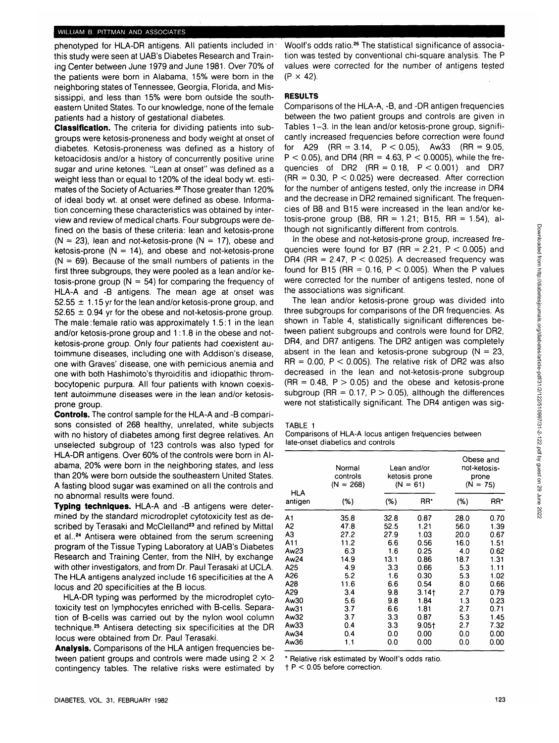#### WILLIAM B. PITTMAN AND ASSOCIATES

phenotyped for HLA-DR antigens. All patients included in' this study were seen at UAB's Diabetes Research and Training Center between June 1979 and June 1981. Over 70% of the patients were born in Alabama, 15% were born in the neighboring states of Tennessee, Georgia, Florida, and Mississippi, and less than 15% were born outside the southeastern United States. To our knowledge, none of the female patients had a history of gestational diabetes.

**Classification.** The criteria for dividing patients into subgroups were ketosis-proneness and body weight at onset of diabetes. Ketosis-proneness was defined as a history of ketoacidosis and/or a history of concurrently positive urine sugar and urine ketones. "Lean at onset" was defined as a weight less than or equal to 120% of the ideal body wt. estimates of the Society of Actuaries.<sup>22</sup> Those greater than 120% of ideal body wt. at onset were defined as obese. Information concerning these characteristics was obtained by interview and review of medical charts. Four subgroups were defined on the basis of these criteria: lean and ketosis-prone  $(N = 23)$ , lean and not-ketosis-prone  $(N = 17)$ , obese and ketosis-prone  $(N = 14)$ , and obese and not-ketosis-prone  $(N = 69)$ . Because of the small numbers of patients in the first three subgroups, they were pooled as a lean and/or ketosis-prone group ( $N = 54$ ) for comparing the frequency of HLA-A and -B antigens. The mean age at onset was  $52.55 \pm 1.15$  yr for the lean and/or ketosis-prone group, and  $52.65 \pm 0.94$  yr for the obese and not-ketosis-prone group. The male:female ratio was approximately 1.5:1 in the lean and/or ketosis-prone group and 1:1.8 in the obese and notketosis-prone group. Only four patients had coexistent autoimmune diseases, including one with Addison's disease, one with Graves' disease, one with pernicious anemia and one with both Hashimoto's thyroiditis and idiopathic thrombocytopenic purpura. All four patients with known coexistent autoimmune diseases were in the lean and/or ketosisprone group.

**Controls.** The control sample for the HLA-A and -B comparisons consisted of 268 healthy, unrelated, white subjects with no history of diabetes among first degree relatives. An unselected subgroup of 123 controls was also typed for HLA-DR antigens. Over 60% of the controls were born in Alabama, 20% were born in the neighboring states, and less than 20% were born outside the southeastern United States. A fasting blood sugar was examined on all the controls and no abnormal results were found.

**Typing techniques.** HLA-A and -B antigens were determined by the standard microdroplet cytotoxicity test as described by Terasaki and McClelland<sup>23</sup> and refined by Mittal et al..<sup>24</sup> Antisera were obtained from the serum screening program of the Tissue Typing Laboratory at UAB's Diabetes Research and Training Center, from the NlH, by exchange with other investigators, and from Dr. Paul Terasaki at UCLA. The HLA antigens analyzed include 16 specificities at the A locus and 20 specificities at the B locus.

HLA-DR typing was performed by the microdroplet cytotoxicity test on lymphocytes enriched with B-cells. Separation of B-cells was carried out by the nylon wool column technique.<sup>25</sup> Antisera detecting six specificities at the DR locus were obtained from Dr. Paul Terasaki.

**Analysis.** Comparisons of the HLA antigen frequencies between patient groups and controls were made using  $2 \times 2$ contingency tables. The relative risks were estimated by

# **RESULTS**

Comparisons of the HLA-A, -B, and -DR antigen frequencies between the two patient groups and controls are given in Tables 1-3. In the lean and/or ketosis-prone group, significantly increased frequencies before correction were found for A29 (RR = 3.14,  $P < 0.05$ ), Aw33 (RR = 9.05,  $P < 0.05$ ), and DR4 (RR = 4.63, P  $< 0.0005$ ), while the frequencies of DR2  $(RR = 0.18, P < 0.001)$  and DR7  $(RR = 0.30, P < 0.025)$  were decreased. After correction for the number of antigens tested, only the increase in DR4 and the decrease in DR2 remained significant. The frequencies of B8 and B15 were increased in the lean and/or ketosis-prone group (B8, RR = 1.21; B15, RR = 1.54), although not significantly different from controls.

Woolf's odds ratio.<sup>26</sup> The statistical significance of association was tested by conventional chi-square analysis. The P

In the obese and not-ketosis-prone group, increased frequencies were found for B7 (RR =  $2.21$ , P < 0.005) and DR4 (RR = 2.47,  $P < 0.025$ ). A decreased frequency was found for B15 (RR =  $0.16$ , P < 0.005). When the P values were corrected for the number of antigens tested, none of the associations was significant.

The lean and/or ketosis-prone group was divided into three subgroups for comparisons of the DR frequencies. As shown in Table 4, statistically significant differences between patient subgroups and controls were found for DR2, DR4, and DR7 antigens. The DR2 antigen was completely absent in the lean and ketosis-prone subgroup  $(N = 23)$ .  $RR = 0.00$ ,  $P < 0.005$ ). The relative risk of DR2 was also decreased in the lean and not-ketosis-prone subgroup  $(RR = 0.48, P > 0.05)$  and the obese and ketosis-prone subgroup (RR =  $0.17$ , P > 0.05), although the differences were not statistically significant. The DR4 antigen was sig-

TABLE 1

Comparisons of HLA-A locus antigen frequencies between late-onset diabetics and controls

|                | Normal<br>controls<br>$(N = 268)$ |        | Lean and/or<br>ketosis prone<br>$(N = 61)$ | Obese and<br>not-ketosis-<br>prone<br>$(N = 75)$ |      |
|----------------|-----------------------------------|--------|--------------------------------------------|--------------------------------------------------|------|
| HLA<br>antigen | (%)                               | $(\%)$ | RR*                                        | (%)                                              | RR*  |
| A1             | 35.8                              | 32.8   | 0.87                                       | 28.0                                             | 0.70 |
| A2             | 47.8                              | 52.5   | 1.21                                       | 56.0                                             | 1.39 |
| A3             | 27.2                              | 27.9   | 1.03                                       | 20.0                                             | 0.67 |
| A11            | 11.2                              | 6.6    | 0.56                                       | 16.0                                             | 1.51 |
| Aw23           | 6.3                               | 1.6    | 0.25                                       | 4.0                                              | 0.62 |
| Aw24           | 14.9                              | 13.1   | 0.86                                       | 18.7                                             | 1.31 |
| A25            | 4.9                               | 3.3    | 0.66                                       | 5.3                                              | 1.11 |
| A26            | 5.2                               | 1.6    | 0.30                                       | 5.3                                              | 1.02 |
| A28            | 11.6                              | 6.6    | 0.54                                       | 8.0                                              | 0.66 |
| A29            | 3.4                               | 9.8    | $3.14+$                                    | 2.7                                              | 0.79 |
| Aw30           | 5.6                               | 9.8    | 1.84                                       | 1.3                                              | 0.23 |
| Aw31           | 3.7                               | 6.6    | 1.81                                       | 2.7                                              | 0.71 |
| Aw32           | 3.7                               | 3.3    | 0.87                                       | 5.3                                              | 1.45 |
| Aw33           | 0.4                               | 3.3    | 9.05†                                      | 2.7                                              | 7.32 |
| Aw34           | 0.4                               | 0.0    | 0.00                                       | 0.0                                              | 0.00 |
| Aw36           | 1.1                               | 0.0    | 0.00                                       | 0.0                                              | 0.00 |

\* Relative risk estimated by Woolf's odds ratio,

 $t$  P < 0.05 before correction.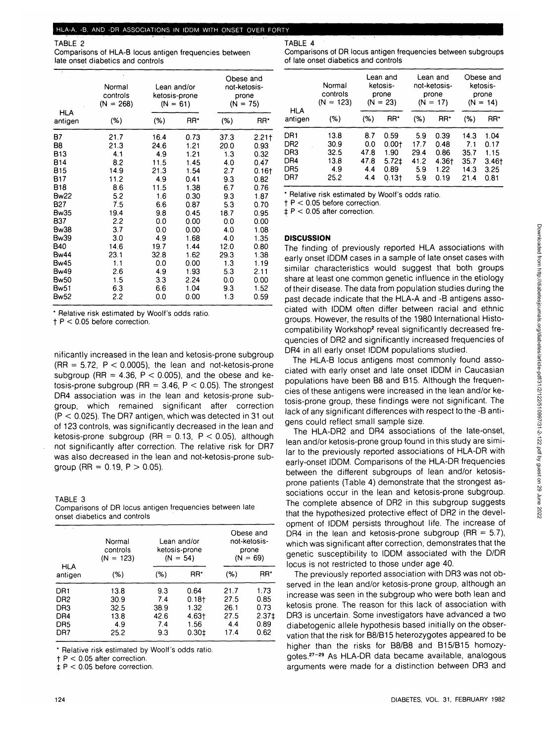TABLE 2

Comparisons of HLA-B locus antigen frequencies between late onset diabetics and controls

|                       | Normal<br>controls<br>$(N = 268)$ | Lean and/or<br>ketosis-prone<br>$(N = 61)$ |      | Obese and<br>not-ketosis-<br>prone<br>$(N = 75)$ |          |
|-----------------------|-----------------------------------|--------------------------------------------|------|--------------------------------------------------|----------|
| <b>HLA</b><br>antigen | (%)                               | (%)                                        | RR*  | (%)                                              | RR*      |
| <b>B7</b>             | 21.7                              | 16.4                                       | 0.73 | 373                                              | 2.21     |
| B8                    | 21.3                              | 24.6                                       | 1.21 | 20.0                                             | 0.93     |
| <b>B13</b>            | 4.1                               | 4.9                                        | 1.21 | 1.3                                              | 0.32     |
| <b>B14</b>            | 8.2                               | 11.5                                       | 1.45 | 40                                               | 0.47     |
| <b>B15</b>            | 14.9                              | 21.3                                       | 1.54 | 2.7                                              | $0.16$ t |
| B17                   | 11.2                              | 4.9                                        | 0.41 | 9.3                                              | 0.82     |
| <b>B18</b>            | 8.6                               | 11.5                                       | 1.38 | 6.7                                              | 0.76     |
| <b>Bw22</b>           | 5.2                               | 1.6                                        | 0.30 | 9.3                                              | 1.87     |
| B <sub>27</sub>       | 7.5                               | 6.6                                        | 0.87 | 5.3                                              | 0.70     |
| <b>Bw35</b>           | 19.4                              | 9.8                                        | 0.45 | 18.7                                             | 0.95     |
| <b>B37</b>            | 2.2                               | 0.0                                        | 0.00 | 0.0                                              | 0.00     |
| <b>Bw38</b>           | 3.7                               | 0.0                                        | 0.00 | 4.0                                              | 1.08     |
| <b>Bw39</b>           | 3.0                               | 4.9                                        | 1.68 | 4.0                                              | 1.35     |
| <b>B40</b>            | 14.6                              | 19.7                                       | 1.44 | 12.0                                             | 0.80     |
| <b>Bw44</b>           | 23.1                              | 32.8                                       | 1.62 | 29.3                                             | 1.38     |
| <b>Bw45</b>           | 1.1                               | 0.0                                        | 0.00 | 1.3                                              | 1.19     |
| <b>Bw49</b>           | 2.6                               | 4.9                                        | 1.93 | 5.3                                              | 2.11     |
| <b>Bw50</b>           | 1.5                               | 3.3                                        | 2.24 | 0.0                                              | 0.00     |
| Bw51                  | 6.3                               | 6.6                                        | 1.04 | 9.3                                              | 1.52     |
| <b>Bw52</b>           | 2.2                               | 0.0                                        | 0.00 | 1.3                                              | 0.59     |

\* Relative risk estimated by Woolf's odds ratio,

 $t$  P < 0.05 before correction.

nificantly increased in the lean and ketosis-prone subgroup  $(RR = 5.72, P < 0.0005)$ , the lean and not-ketosis-prone subgroup (RR =  $4.36$ , P < 0.005), and the obese and ketosis-prone subgroup (RR =  $3.46$ , P < 0.05). The strongest DR4 association was in the lean and ketosis-prone subgroup, which remained significant after correction  $(P < 0.025)$ . The DR7 antigen, which was detected in 31 out of 123 controls, was significantly decreased in the lean and ketosis-prone subgroup (RR = 0.13,  $P < 0.05$ ), although not significantly after correction. The relative risk for DR7 was also decreased in the lean and not-ketosis-prone subgroup (RR =  $0.19$ , P  $> 0.05$ ).

## TABLE 3

Comparisons of DR locus antigen frequencies between late onset diabetics and controls

|                 | Normal<br>controls<br>$(N = 123)$ | Lean and/or<br>ketosis-prone<br>$(N = 54)$ |          | Obese and<br>not-ketosis-<br>prone<br>$(N = 69)$ |         |
|-----------------|-----------------------------------|--------------------------------------------|----------|--------------------------------------------------|---------|
| HLA<br>antigen  | (%)                               | (%)                                        | RR*      | (%)                                              | RR*     |
| DR <sub>1</sub> | 13.8                              | 9.3                                        | 0.64     | 21.7                                             | 1.73    |
| DR <sub>2</sub> | 30.9                              | 7.4                                        | $0.18 +$ | 27.5                                             | 0.85    |
| DR <sub>3</sub> | 32.5                              | 38.9                                       | 1.32     | 26.1                                             | 0.73    |
| DR4             | 13.8                              | 42.6                                       | $4.63+$  | 27.5                                             | $2.37+$ |
| DR <sub>5</sub> | 4.9                               | 7.4                                        | 1.56     | 4.4                                              | 0.89    |
| DR7             | 25.2                              | 9.3                                        | 0.301    | 17.4                                             | 0.62    |

\* Relative risk estimated by Woolf's odds ratio,

 $t$  P < 0.05 after correction.

 $\texttt{\ddagger}$  P < 0.05 before correction.

TABLE 4

Comparisons of DR locus antigen frequencies between subgroups of late onset diabetics and controls

| <b>HLA</b>                             | Normal<br>controls<br>$(N = 123)$           | Lean and<br>ketosis-<br>prone<br>$(N = 23)$ |                                                      | Lean and<br>not-ketosis-<br>prone<br>$(N = 17)$ |                                               | Obese and<br>ketosis-<br>prone<br>$(N = 14)$ |                                                 |
|----------------------------------------|---------------------------------------------|---------------------------------------------|------------------------------------------------------|-------------------------------------------------|-----------------------------------------------|----------------------------------------------|-------------------------------------------------|
| antigen                                | (%)                                         | (%)                                         | RR*                                                  | (%)                                             | RR*                                           | (%)                                          | RR*                                             |
| DR1<br>DR2<br>DR3<br>DR4<br>DR5<br>DR7 | 13.8<br>30.9<br>32.5<br>13.8<br>4.9<br>25.2 | 8.7<br>0.0<br>47.8<br>47.8<br>4.4<br>4.4    | 0.59<br>0.001<br>1.90<br>$5.72+$<br>0.89<br>$0.13 +$ | 5.9<br>17.7<br>29.4<br>41.2<br>5.9<br>5.9       | 0.39<br>0.48<br>0.86<br>4.36†<br>1.22<br>0.19 | 14.3<br>7.1<br>35.7<br>35.7<br>14.3<br>21.4  | 1.04<br>0.17<br>1.15<br>$3.46+$<br>3.25<br>0.81 |

Relative risk estimated by Woolf's odds ratio.

 $t$  P < 0.05 before correction.

 $\pm$  P < 0.05 after correction.

## **DISCUSSION**

The finding of previously reported HLA associations with early onset IDDM cases in a sample of late onset cases with similar characteristics would suggest that both groups share at least one common genetic influence in the etiology of their disease. The data from population studies during the past decade indicate that the HLA-A and -B antigens associated with IDDM often differ between racial and ethnic groups. However, the results of the 1980 International Histocompatibility Workshop<sup>2</sup> reveal significantly decreased frequencies of DR2 and significantly increased frequencies of DR4 in all early onset IDDM populations studied.

The HLA-B locus antigens most commonly found associated with early onset and late onset IDDM in Caucasian populations have been B8 and B15. Although the frequencies of these antigens were increased in the lean and/or ketosis-prone group, these findings were not significant. The lack of any significant differences with respect to the -B antigens could reflect small sample size.

The HLA-DR2 and DR4 associations of the late-onset, lean and/or ketosis-prone group found in this study are similar to the previously reported associations of HLA-DR with early-onset IDDM. Comparisons of the HLA-DR frequencies between the different subgroups of lean and/or ketosisprone patients (Table 4) demonstrate that the strongest associations occur in the lean and ketosis-prone subgroup. The complete absence of DR2 in this subgroup suggests that the hypothesized protective effect of DR2 in the development of IDDM persists throughout life. The increase of DR4 in the lean and ketosis-prone subgroup (RR  $=$  5.7), which was significant after correction, demonstrates that the genetic susceptibility to IDDM associated with the D/DR locus is not restricted to those under age 40.

The previously reported association with DR3 was not observed in the lean and/or ketosis-prone group, although an increase was seen in the subgroup who were both lean and ketosis prone. The reason for this lack of association with DR3 is uncertain. Some investigators have advanced a two diabetogenic allele hypothesis based initially on the observation that the risk for B8/B15 heterozygotes appeared to be higher than the risks for B8/B8 and B15/B15 homozygotes.<sup>27-29</sup> As HLA-DR data became available, analogous arguments were made for a distinction between DR3 and